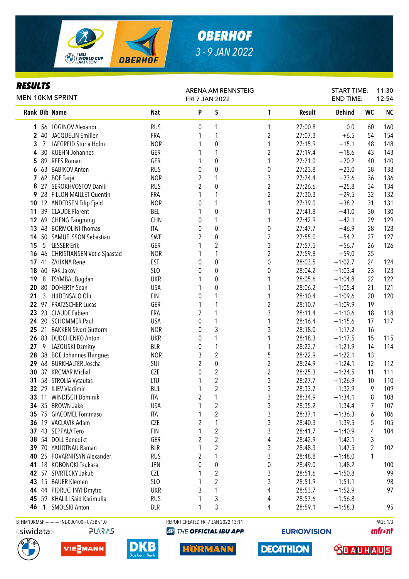

# *OBERHOF 3 - 9 JAN 2022*

### *RESULTS*

| <b>MEN 10KM SPRINT</b> |                |                                              |                 | FRI 7 JAN 2022 | ARENA AM RENNSTEIG                  |                         |         | <b>START TIME:</b><br><b>END TIME:</b> |                 | 11:30<br>12:54 |  |
|------------------------|----------------|----------------------------------------------|-----------------|----------------|-------------------------------------|-------------------------|---------|----------------------------------------|-----------------|----------------|--|
|                        |                | Rank Bib Name                                | Nat             | P              | $\sf S$                             | $\mathsf{T}$            | Result  | <b>Behind</b>                          | <b>WC</b>       | <b>NC</b>      |  |
|                        |                | 1 56 LOGINOV Alexandr                        | <b>RUS</b>      | 0              | 1                                   | 1                       | 27:00.8 | 0.0                                    | 60              | 160            |  |
|                        |                | 2 40 JACQUELIN Emilien                       | FRA             | 1              | 1                                   | $\overline{c}$          | 27:07.3 | $+6.5$                                 | 54              | 154            |  |
| 3                      | 7              | LAEGREID Sturla Holm                         | <b>NOR</b>      | 1              | $\boldsymbol{0}$                    | 1                       | 27:15.9 | $+15.1$                                | 48              | 148            |  |
| 4                      |                | 30 KUEHN Johannes                            | GER             | 1              | 1                                   | 2                       | 27:19.4 | $+18.6$                                | 43              | 143            |  |
| 5                      |                | 89 REES Roman                                | GER             | 1              | $\boldsymbol{0}$                    | 1                       | 27:21.0 | $+20.2$                                | 40              | 140            |  |
| 6                      |                | 63 BABIKOV Anton                             | <b>RUS</b>      | 0              | $\boldsymbol{0}$                    | $\pmb{0}$               | 27:23.8 | $+23.0$                                | 38              | 138            |  |
| $\mathbf{7}$           |                | 62 BOE Tarjei                                | <b>NOR</b>      | $\overline{2}$ | 1                                   | $\mathfrak{Z}$          | 27:24.4 | $+23.6$                                | 36              | 136            |  |
| 8                      |                | 27 SEROKHVOSTOV Daniil                       | <b>RUS</b>      | $\overline{2}$ | $\boldsymbol{0}$                    | $\overline{2}$          | 27:26.6 | $+25.8$                                | 34              | 134            |  |
| 9                      |                | 28 FILLON MAILLET Quentin                    | FRA             | 1              | 1                                   | $\overline{c}$          | 27:30.3 | $+29.5$                                | 32              | 132            |  |
| 10                     |                | 12 ANDERSEN Filip Fjeld                      | <b>NOR</b>      | 0              | 1                                   | 1                       | 27:39.0 | $+38.2$                                | 31              | 131            |  |
| 11                     |                | 39 CLAUDE Florent                            | BEL             |                | $\boldsymbol{0}$                    | 1                       | 27:41.8 | $+41.0$                                | 30              | 130            |  |
| 12                     |                | 69 CHENG Fangming                            | <b>CHN</b>      | 0              | 1                                   | 1                       | 27:42.9 | $+42.1$                                | 29              | 129            |  |
| 13                     |                | 48 BORMOLINI Thomas                          | ITA             | 0              | $\boldsymbol{0}$                    | $\boldsymbol{0}$        | 27:47.7 | $+46.9$                                | 28              | 128            |  |
| 14                     |                | 50 SAMUELSSON Sebastian                      | SWE             | 2              | $\mathbf 0$                         | $\overline{2}$          | 27:55.0 | $+54.2$                                | 27              | 127            |  |
| 15                     | 5              | <b>LESSER Erik</b>                           | GER             | 1              | $\overline{2}$                      | 3                       | 27:57.5 | $+56.7$                                | 26              | 126            |  |
| 16                     |                | 46 CHRISTIANSEN Vetle Sjaastad               | <b>NOR</b>      | 1              | 1                                   | $\overline{c}$          | 27:59.8 | $+59.0$                                | 25              |                |  |
| 17                     |                | 41 ZAHKNA Rene                               | EST             | 0              | $\mathbf 0$                         | $\boldsymbol{0}$        | 28:03.5 | $+1:02.7$                              | 24              | 124            |  |
|                        |                | 18 60 FAK Jakov                              | SLO             | 0              | $\boldsymbol{0}$                    | $\boldsymbol{0}$        | 28:04.2 | $+1:03.4$                              | 23              | 123            |  |
| 19                     | 8              | <b>TSYMBAL Bogdan</b>                        | <b>UKR</b>      | 1              | $\mathbf 0$                         | 1                       | 28:05.6 | $+1:04.8$                              | 22              | 122            |  |
|                        |                | 20 80 DOHERTY Sean                           | <b>USA</b>      | 1              | $\mathbf 0$                         | 1                       | 28:06.2 | $+1:05.4$                              | 21              | 121            |  |
| 21                     | $\mathbf{3}$   | HIIDENSALO Olli                              | <b>FIN</b>      | 0              | 1                                   | 1                       | 28:10.4 | $+1:09.6$                              | 20              | 120            |  |
|                        |                | 22 97 FRATZSCHER Lucas                       | GER             | 1              | 1                                   | $\overline{\mathbf{c}}$ | 28:10.7 | $+1:09.9$                              | 19              |                |  |
| 23                     |                | 23 CLAUDE Fabien                             | FRA             | 2              |                                     | 3                       | 28:11.4 | $+1:10.6$                              | 18              | 118            |  |
| 24                     |                | 20 SCHOMMER Paul                             | <b>USA</b>      | 0              | 1                                   | 1                       | 28:16.4 | $+1:15.6$                              | 17              | 117            |  |
| 25                     | 21             | <b>BAKKEN Sivert Guttorm</b>                 | <b>NOR</b>      | 0              | 3                                   | 3                       | 28:18.0 | $+1:17.2$                              | 16              |                |  |
|                        |                | 26 83 DUDCHENKO Anton                        | <b>UKR</b>      | 0              | 1                                   | 1                       | 28:18.3 | $+1:17.5$                              | 15              | 115            |  |
| 27                     | 9              | LAZOUSKI Dzmitry                             | <b>BLR</b>      | 0              | 1                                   | 1                       | 28:22.7 | $+1:21.9$                              | 14              | 114            |  |
| 28                     |                | 38 BOE Johannes Thingnes                     | <b>NOR</b>      | 3              | $\overline{c}$                      | 5                       | 28:22.9 | $+1:22.1$                              | 13              |                |  |
| 29                     |                | 68 BURKHALTER Joscha                         | SUI             | $\overline{2}$ | $\boldsymbol{0}$                    | $\overline{c}$          | 28:24.9 | $+1:24.1$                              | 12              | 112            |  |
| 30                     |                | 37 KRCMAR Michal                             | CZE             | 0              | $\overline{c}$                      | $\overline{2}$          | 28:25.3 | $+1:24.5$                              | 11              | 111            |  |
| 31                     |                | 58 STROLIA Vytautas                          | LTU             | 1              | $\overline{c}$                      | 3                       | 28:27.7 | $+1:26.9$                              | 10              | 110            |  |
|                        |                | 32 29 ILIEV Vladimir                         | <b>BUL</b>      | 1              | $\overline{2}$                      | 3                       | 28:33.7 | $+1:32.9$                              | 9               | 109            |  |
|                        |                | 33 11 WINDISCH Dominik                       | <b>ITA</b>      | $\overline{c}$ | $\mathbf{1}$                        | 3                       | 28:34.9 | $+1:34.1$                              | $8\phantom{.0}$ | 108            |  |
|                        |                | 34 35 BROWN Jake                             | <b>USA</b>      | 1              | 2                                   | 3                       | 28:35.2 | $+1:34.4$                              | 7               | 107            |  |
|                        |                | 35 75 GIACOMEL Tommaso                       | ITA             | 1              | $\overline{c}$                      | 3                       | 28:37.1 | $+1:36.3$                              | 6               | 106            |  |
|                        |                | 36 19 VACLAVIK Adam                          | <b>CZE</b>      | 2              | 1                                   | 3                       | 28:40.3 | $+1:39.5$                              | 5               | 105            |  |
|                        |                | 37 43 SEPPALA Tero                           | <b>FIN</b>      | 1              | $\overline{c}$                      | 3                       | 28:41.7 | $+1:40.9$                              | 4               | 104            |  |
|                        |                | 38 54 DOLL Benedikt                          | GER             | 2              | $\overline{c}$                      | $\sqrt{4}$              | 28:42.9 | $+1:42.1$                              | 3               |                |  |
|                        |                | 39 70 YALIOTNAU Raman                        | <b>BLR</b>      | 1              | $\overline{c}$                      | 3                       | 28:48.3 | $+1:47.5$                              | $\overline{2}$  | 102            |  |
| 40                     |                | 25 POVARNITSYN Alexander                     | <b>RUS</b>      | 2              | 1                                   | 3                       | 28:48.8 | $+1:48.0$                              | 1               |                |  |
| 41                     |                | 18 KOBONOKI Tsukasa                          | <b>JPN</b>      | 0              | $\pmb{0}$                           | 0                       | 28:49.0 | $+1:48.2$                              |                 | 100            |  |
|                        |                | 42 57 STVRTECKY Jakub                        | CZE             |                | 2                                   | 3                       | 28:51.6 | $+1:50.8$                              |                 | 99             |  |
|                        |                | 43 15 BAUER Klemen                           | SL <sub>0</sub> |                | $\boldsymbol{2}$                    | 3                       | 28:51.9 | $+1:51.1$                              |                 | 98             |  |
| 44                     |                | 44 PIDRUCHNYI Dmytro                         | <b>UKR</b>      | 3              | 1                                   | 4                       | 28:53.7 | $+1:52.9$                              |                 | 97             |  |
|                        |                | 45 59 KHALILI Said Karimulla                 | <b>RUS</b>      |                | 3                                   | 4                       | 28:57.6 | $+1:56.8$                              |                 |                |  |
| 46                     | $\overline{1}$ | <b>SMOLSKI Anton</b>                         | <b>BLR</b>      | 1              | 3                                   | 4                       | 28:59.1 | $+1:58.3$                              |                 | 95             |  |
|                        |                |                                              |                 |                |                                     |                         |         |                                        |                 |                |  |
|                        |                | BTHM10KMSP------------FNL-000100-- C73B v1.0 |                 |                | REPORT CREATED FRI 7 JAN 2022 13:11 |                         |         |                                        |                 | PAGE 1/3       |  |

**PLARAS** 







**@ THE OFFICIAL IBU APP** 

**HORMANN** 

**EURIO)VISION** 

**DECATHLON** 

**unfront** 

**WBAUHAUS**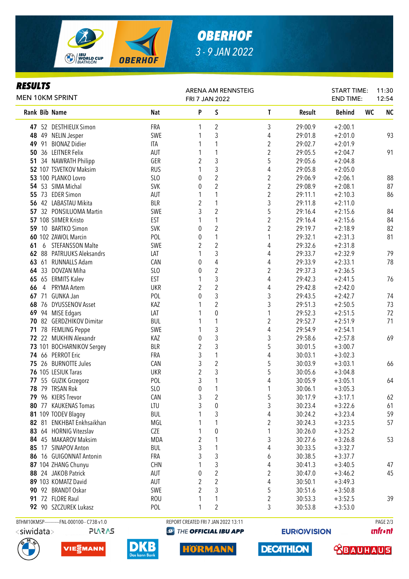

# *OBERHOF 3 - 9 JAN 2022*

#### *RESULTS*

| nljvli j<br><b>MEN 10KM SPRINT</b> |                |                                              |            | <b>ARENA AM RENNSTEIG</b><br>FRI 7 JAN 2022 |                         |                         |         | <b>START TIME:</b><br><b>END TIME:</b> |    | 11:30<br>12:54 |
|------------------------------------|----------------|----------------------------------------------|------------|---------------------------------------------|-------------------------|-------------------------|---------|----------------------------------------|----|----------------|
|                                    |                | <b>Rank Bib Name</b>                         | <b>Nat</b> | P                                           | S                       | $\mathsf{T}$            | Result  | <b>Behind</b>                          | WC | <b>NC</b>      |
|                                    |                | 47 52 DESTHIEUX Simon                        | <b>FRA</b> | 1                                           | 2                       | 3                       | 29:00.9 | $+2:00.1$                              |    |                |
| 48                                 |                | 49 NELIN Jesper                              | SWE        | 1                                           | 3                       | 4                       | 29:01.8 | $+2:01.0$                              |    | 93             |
| 49                                 | 91             | <b>BIONAZ Didier</b>                         | <b>ITA</b> | 1                                           | 1                       | $\overline{\mathbf{c}}$ | 29:02.7 | $+2:01.9$                              |    |                |
| 50                                 |                | 36 LEITNER Felix                             | AUT        | 1                                           | 1                       | $\overline{2}$          | 29:05.5 | $+2:04.7$                              |    | 91             |
| 51                                 |                | 34 NAWRATH Philipp                           | GER        | 2                                           | $\mathfrak{Z}$          | 5                       | 29:05.6 | $+2:04.8$                              |    |                |
|                                    |                | 52 107 TSVETKOV Maksim                       | <b>RUS</b> | 1                                           | 3                       | 4                       | 29:05.8 | $+2:05.0$                              |    |                |
|                                    |                | 53 100 PLANKO Lovro                          | SLO        | 0                                           | $\overline{c}$          | 2                       | 29:06.9 | $+2:06.1$                              |    | 88             |
|                                    |                | 54 53 SIMA Michal                            | <b>SVK</b> | 0                                           | $\overline{2}$          | $\overline{c}$          | 29:08.9 | $+2:08.1$                              |    | 87             |
| 55                                 |                | 73 EDER Simon                                | AUT        |                                             | 1                       | $\overline{c}$          | 29:11.1 | $+2:10.3$                              |    | 86             |
|                                    |                | 56 42 LABASTAU Mikita                        | <b>BLR</b> | 2                                           | 1                       | 3                       | 29:11.8 | $+2:11.0$                              |    |                |
| 57                                 |                | 32 PONSILUOMA Martin                         | SWE        | 3                                           | $\overline{2}$          | 5                       | 29:16.4 | $+2:15.6$                              |    | 84             |
|                                    |                | 57 108 SIIMER Kristo                         | EST        | 1                                           | 1                       | $\overline{2}$          | 29:16.4 | $+2:15.6$                              |    | 84             |
| 59                                 |                | 10 BARTKO Simon                              | <b>SVK</b> | 0                                           | $\overline{2}$          | $\overline{2}$          | 29:19.7 | $+2:18.9$                              |    | 82             |
|                                    |                | 60 102 ZAWOL Marcin                          | POL        | 0                                           | 1                       | 1                       | 29:32.1 | $+2:31.3$                              |    | 81             |
| 61                                 | 6              | <b>STEFANSSON Malte</b>                      | SWE        | 2                                           | $\overline{2}$          | 4                       | 29:32.6 | $+2:31.8$                              |    |                |
|                                    |                | 62 88 PATRIJUKS Aleksandrs                   | LAT        | 1                                           | 3                       | 4                       | 29:33.7 | $+2:32.9$                              |    | 79             |
| 63                                 |                | 61 RUNNALLS Adam                             | CAN        | 0                                           | 4                       | 4                       | 29:33.9 | $+2:33.1$                              |    | 78             |
|                                    |                | 64 33 DOVZAN Miha                            | SLO        | 0                                           | $\overline{2}$          | $\overline{2}$          | 29:37.3 | $+2:36.5$                              |    |                |
|                                    |                | 65 65 ERMITS Kalev                           | <b>EST</b> | 1                                           | 3                       | 4                       | 29:42.3 | $+2:41.5$                              |    | 76             |
| 66                                 | $\overline{4}$ | PRYMA Artem                                  | <b>UKR</b> | 2                                           | $\overline{2}$          | 4                       | 29:42.8 | $+2:42.0$                              |    |                |
| 67                                 |                | 71 GUNKA Jan                                 | POL        | 0                                           | 3                       | 3                       | 29:43.5 | $+2:42.7$                              |    | 74             |
| 68                                 |                | 76 DYUSSENOV Asset                           | KAZ        |                                             | $\overline{c}$          | 3                       | 29:51.3 | $+2:50.5$                              |    | 73             |
| 69                                 |                | 94 MISE Edgars                               | LAT        |                                             | $\pmb{0}$               | 1                       | 29:52.3 | $+2:51.5$                              |    | 72             |
| 70                                 |                | 82 GERDZHIKOV Dimitar                        | <b>BUL</b> | 1                                           | 1                       | $\overline{\mathbf{c}}$ | 29:52.7 | $+2:51.9$                              |    | 71             |
| 71                                 |                | 78 FEMLING Peppe                             | SWE        | 1                                           | 3                       | 4                       | 29:54.9 | $+2:54.1$                              |    |                |
| 72                                 |                | 22 MUKHIN Alexandr                           | KAZ        | 0                                           | 3                       | 3                       | 29:58.6 | $+2:57.8$                              |    | 69             |
|                                    |                | 73 101 BOCHARNIKOV Sergey                    | <b>BLR</b> | 2                                           | 3                       | 5                       | 30:01.5 | $+3:00.7$                              |    |                |
|                                    |                | 74 66 PERROT Eric                            | FRA        | 3                                           | 1                       | 4                       | 30:03.1 | $+3:02.3$                              |    |                |
| 75                                 |                | 26 BURNOTTE Jules                            | CAN        | 3                                           | $\overline{c}$          | 5                       | 30:03.9 | $+3:03.1$                              |    | 66             |
|                                    |                | 76 105 LESIUK Taras                          | <b>UKR</b> | $\overline{2}$                              | 3                       | 5                       | 30:05.6 | $+3:04.8$                              |    |                |
|                                    |                | 77 55 GUZIK Grzegorz                         | POL        | 3                                           | 1                       | 4                       | 30:05.9 | $+3:05.1$                              |    | 64             |
|                                    |                | 78 79 TRSAN Rok                              | SLO        | 0                                           | 1                       | 1                       | 30:06.1 | $+3:05.3$                              |    |                |
|                                    |                | 79 96 KIERS Trevor                           | CAN        | 3                                           | $\overline{\mathbf{c}}$ | 5                       | 30:17.9 | $+3:17.1$                              |    | 62             |
|                                    |                | 80 77 KAUKENAS Tomas                         | LTU        | 3                                           | 0                       | 3                       | 30:23.4 | $+3:22.6$                              |    | 61             |
|                                    |                | 81 109 TODEV Blagoy                          | <b>BUL</b> |                                             | 3                       | 4                       | 30:24.2 | $+3:23.4$                              |    | 59             |
|                                    |                | 82 81 ENKHBAT Enkhsaikhan                    | MGL        |                                             | 1                       | $\boldsymbol{2}$        | 30:24.3 | $+3:23.5$                              |    | 57             |
|                                    |                | 83 64 HORNIG Vitezslav                       | <b>CZE</b> |                                             | $\pmb{0}$               | 1                       | 30:26.0 | $+3:25.2$                              |    |                |
|                                    |                | 84 45 MAKAROV Maksim                         | MDA        | 2                                           | 1                       | 3                       | 30:27.6 | $+3:26.8$                              |    | 53             |
|                                    |                | 85 17 SINAPOV Anton                          | <b>BUL</b> | 3                                           | 1                       | 4                       | 30:33.5 | $+3:32.7$                              |    |                |
|                                    |                | 86 16 GUIGONNAT Antonin                      | FRA        | 3                                           | 3                       |                         | 30:38.5 | $+3:37.7$                              |    |                |
|                                    |                | 87 104 ZHANG Chunyu                          | <b>CHN</b> |                                             | 3                       | 6                       |         | $+3:40.5$                              |    | 47             |
|                                    |                |                                              |            |                                             |                         | 4                       | 30:41.3 |                                        |    |                |
|                                    |                | 88 24 JAKOB Patrick                          | AUT        | 0                                           | $\overline{\mathbf{c}}$ | 2                       | 30:47.0 | $+3:46.2$                              |    | 45             |
|                                    |                | 89 103 KOMATZ David                          | AUT        | 2                                           | 2                       | 4                       | 30:50.1 | $+3:49.3$                              |    |                |
| 90                                 |                | 92 BRANDT Oskar                              | SWE        | 2                                           | 3                       | 5                       | 30:51.6 | $+3:50.8$                              |    |                |
|                                    |                | 91 72 FLORE Raul                             | <b>ROU</b> | 1                                           | 1                       | $\boldsymbol{2}$        | 30:53.3 | $+3:52.5$                              |    | 39             |
|                                    |                | 92 90 SZCZUREK Lukasz                        | POL        | 1                                           | $\overline{2}$          | 3                       | 30:53.8 | $+3:53.0$                              |    |                |
|                                    |                | BTHM10KMSP------------FNL-000100-- C73B v1.0 |            | REPORT CREATED FRI 7 JAN 2022 13:11         |                         |                         |         |                                        |    | PAGE 2/3       |

<siwidata>

**PLARAS** 







**@** THE OFFICIAL IBU APP

**HORMANN** 

**EURIO)VISION** 

**DECATHLON** 

*<u><u>Infront</u>*</u>

**TRAUHAUS**